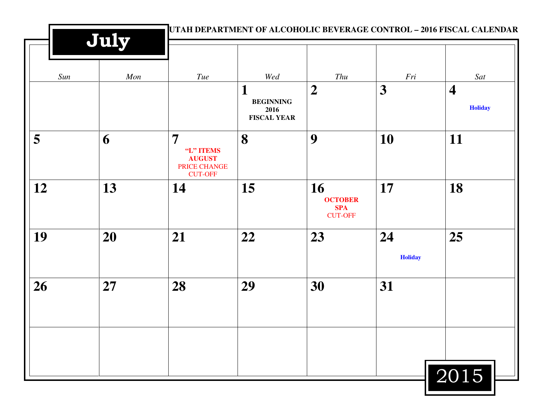|     | July |                                                                                |                                                            |                                                      |                      |                                                  |
|-----|------|--------------------------------------------------------------------------------|------------------------------------------------------------|------------------------------------------------------|----------------------|--------------------------------------------------|
| Sun | Mon  | Tue                                                                            | Wed<br>Т<br><b>BEGINNING</b><br>2016<br><b>FISCAL YEAR</b> | Thu<br>$\boldsymbol{2}$                              | Fri<br>3             | Sat<br>$\overline{\mathbf{4}}$<br><b>Holiday</b> |
| 5   | 6    | $\overline{7}$<br>"L" ITEMS<br><b>AUGUST</b><br>PRICE CHANGE<br><b>CUT-OFF</b> | 8                                                          | 9                                                    | <b>10</b>            | 11                                               |
| 12  | 13   | 14                                                                             | 15                                                         | 16<br><b>OCTOBER</b><br><b>SPA</b><br><b>CUT-OFF</b> | 17                   | 18                                               |
| 19  | 20   | 21                                                                             | 22                                                         | 23                                                   | 24<br><b>Holiday</b> | 25                                               |
| 26  | 27   | 28                                                                             | 29                                                         | 30                                                   | 31                   |                                                  |
|     |      |                                                                                |                                                            |                                                      |                      | 2015                                             |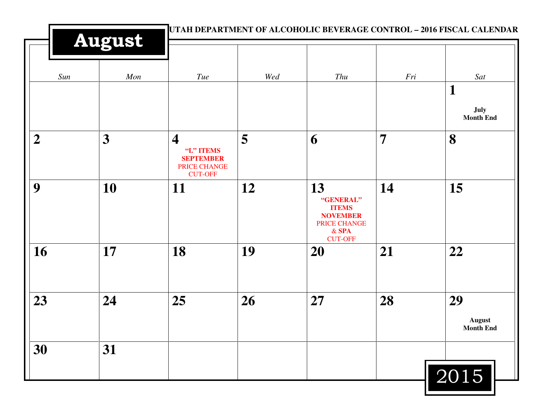|                | <b>August</b> |                                                                                            | UTAH DEPARTMENT OF ALCOHOLIC BEVERAGE CONTROL - 2016 FISCAL CALENDAR |                                                                                                        |                |                                         |  |
|----------------|---------------|--------------------------------------------------------------------------------------------|----------------------------------------------------------------------|--------------------------------------------------------------------------------------------------------|----------------|-----------------------------------------|--|
| Sun            | Mon           | Tue                                                                                        | Wed                                                                  | Thu                                                                                                    | Fri            | Sat                                     |  |
|                |               |                                                                                            |                                                                      |                                                                                                        |                | $\mathbf 1$<br>July<br><b>Month End</b> |  |
| $\overline{2}$ | 3             | $\overline{\mathbf{4}}$<br>"L" ITEMS<br><b>SEPTEMBER</b><br>PRICE CHANGE<br><b>CUT-OFF</b> | 5                                                                    | 6                                                                                                      | $\overline{7}$ | 8                                       |  |
| 9              | 10            | 11                                                                                         | 12                                                                   | 13<br>"GENERAL"<br><b>ITEMS</b><br><b>NOVEMBER</b><br><b>PRICE CHANGE</b><br>$&$ SPA<br><b>CUT-OFF</b> | 14             | 15                                      |  |
| 16             | 17            | 18                                                                                         | 19                                                                   | <b>20</b>                                                                                              | 21             | 22                                      |  |
| 23             | 24            | 25                                                                                         | 26                                                                   | 27                                                                                                     | 28             | 29<br><b>August</b><br><b>Month End</b> |  |
| 30             | 31            |                                                                                            |                                                                      |                                                                                                        |                | 2015                                    |  |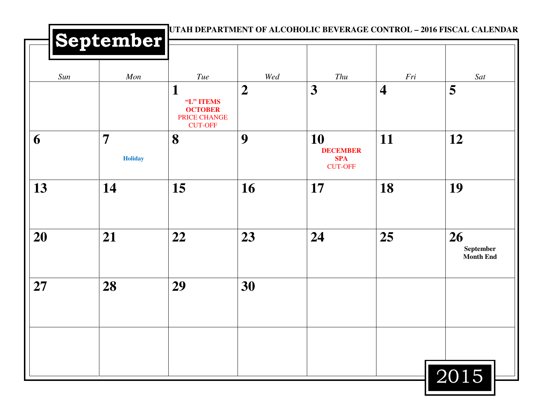| Sun | Mon                              | Tue                                                                | Wed              | Thu                                                   | Fri                     | Sat                                 |
|-----|----------------------------------|--------------------------------------------------------------------|------------------|-------------------------------------------------------|-------------------------|-------------------------------------|
|     |                                  | 1<br>"L" ITEMS<br><b>OCTOBER</b><br>PRICE CHANGE<br><b>CUT-OFF</b> | $\boldsymbol{2}$ | 3                                                     | $\overline{\mathbf{4}}$ | 5                                   |
| 6   | $\overline{7}$<br><b>Holiday</b> | 8                                                                  | 9                | 10<br><b>DECEMBER</b><br><b>SPA</b><br><b>CUT-OFF</b> | 11                      | 12                                  |
| 13  | 14                               | 15                                                                 | 16               | 17                                                    | 18                      | 19                                  |
| 20  | 21                               | 22                                                                 | 23               | 24                                                    | 25                      | 26<br>September<br><b>Month End</b> |
| 27  | 28                               | 29                                                                 | 30               |                                                       |                         |                                     |
|     |                                  |                                                                    |                  |                                                       |                         |                                     |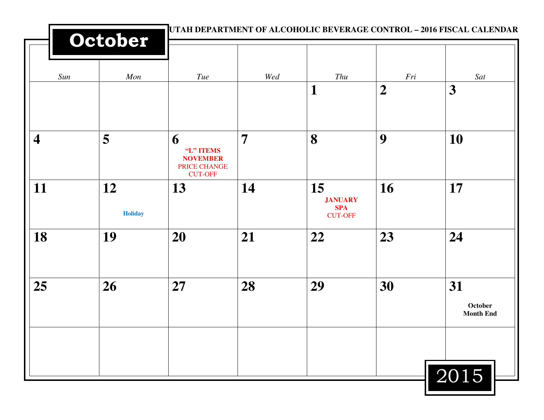|                         | October              |                                                                     |                |                                                      | UTAH DEPARTMENT OF ALCOHOLIC BEVERAGE CONTROL - 2016 FISCAL CALENDAR |                                   |
|-------------------------|----------------------|---------------------------------------------------------------------|----------------|------------------------------------------------------|----------------------------------------------------------------------|-----------------------------------|
| Sun                     | Mon                  | Tue                                                                 | Wed            | Thu                                                  | Fri                                                                  | Sat                               |
|                         |                      |                                                                     |                | $\mathbf 1$                                          | $\boldsymbol{2}$                                                     | $\overline{\mathbf{3}}$           |
| $\overline{\mathbf{4}}$ | 5                    | 6<br>"L" ITEMS<br><b>NOVEMBER</b><br>PRICE CHANGE<br><b>CUT-OFF</b> | $\overline{7}$ | 8                                                    | 9                                                                    | 10                                |
| 11                      | 12<br><b>Holiday</b> | 13                                                                  | 14             | 15<br><b>JANUARY</b><br><b>SPA</b><br><b>CUT-OFF</b> | 16                                                                   | 17                                |
| 18                      | 19                   | 20                                                                  | 21             | 22                                                   | 23                                                                   | 24                                |
| 25                      | 26                   | 27                                                                  | 28             | 29                                                   | 30                                                                   | 31<br>October<br><b>Month End</b> |
|                         |                      |                                                                     |                |                                                      |                                                                      | 2015                              |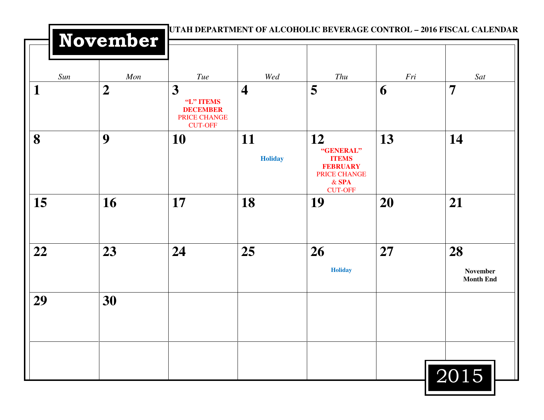|     | November       |                                                                     |                         | UTAH DEPARTMENT OF ALCOHOLIC BEVERAGE CONTROL – 2016 FISCAL CALENDAR                                   |     |                                    |
|-----|----------------|---------------------------------------------------------------------|-------------------------|--------------------------------------------------------------------------------------------------------|-----|------------------------------------|
| Sun | Mon            | Tue                                                                 | Wed                     | Thu                                                                                                    | Fri | Sat                                |
| 1   | $\overline{2}$ | 3<br>"L" ITEMS<br><b>DECEMBER</b><br>PRICE CHANGE<br><b>CUT-OFF</b> | $\overline{\mathbf{4}}$ | 5                                                                                                      | 6   | $\overline{7}$                     |
| 8   | 9              | 10                                                                  | 11<br><b>Holiday</b>    | 12<br>"GENERAL"<br><b>ITEMS</b><br><b>FEBRUARY</b><br><b>PRICE CHANGE</b><br>$&$ SPA<br><b>CUT-OFF</b> | 13  | 14                                 |
| 15  | 16             | 17                                                                  | 18                      | 19                                                                                                     | 20  | 21                                 |
| 22  | 23             | 24                                                                  | 25                      | 26<br><b>Holiday</b>                                                                                   | 27  | 28<br>November<br><b>Month End</b> |
| 29  | 30             |                                                                     |                         |                                                                                                        |     |                                    |
|     |                |                                                                     |                         |                                                                                                        |     | 2015                               |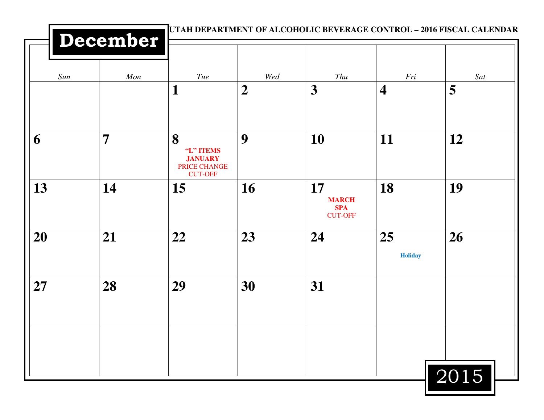| UTAH DEPARTMENT OF ALCOHOLIC BEVERAGE CONTROL - 2016 FISCAL CALENDAR<br>December |     |                                                                    |                  |                                                    |                         |      |  |  |
|----------------------------------------------------------------------------------|-----|--------------------------------------------------------------------|------------------|----------------------------------------------------|-------------------------|------|--|--|
| Sun                                                                              | Mon | <b>Tue</b>                                                         | Wed              | Thu                                                | Fri                     | Sat  |  |  |
|                                                                                  |     | $\mathbf{1}$                                                       | $\boldsymbol{2}$ | 3                                                  | $\overline{\mathbf{4}}$ | 5    |  |  |
| 6                                                                                | 7   | 8<br>"L" ITEMS<br><b>JANUARY</b><br>PRICE CHANGE<br><b>CUT-OFF</b> | 9                | <b>10</b>                                          | 11                      | 12   |  |  |
| 13                                                                               | 14  | 15                                                                 | 16               | 17<br><b>MARCH</b><br><b>SPA</b><br><b>CUT-OFF</b> | 18                      | 19   |  |  |
| 20                                                                               | 21  | 22                                                                 | 23               | 24                                                 | 25<br><b>Holiday</b>    | 26   |  |  |
| 27                                                                               | 28  | 29                                                                 | 30               | 31                                                 |                         |      |  |  |
|                                                                                  |     |                                                                    |                  |                                                    |                         |      |  |  |
|                                                                                  |     |                                                                    |                  |                                                    |                         | 2015 |  |  |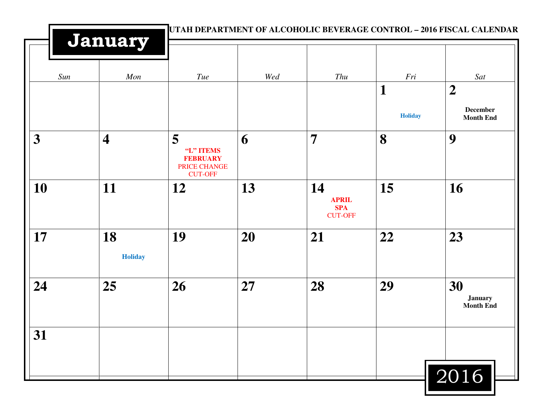|                         | January                 | UTAH DEPARTMENT OF ALCOHOLIC BEVERAGE CONTROL - 2016 FISCAL CALENDAR |     |                                                    |                     |                                                         |
|-------------------------|-------------------------|----------------------------------------------------------------------|-----|----------------------------------------------------|---------------------|---------------------------------------------------------|
| Sun                     | Mon                     | Tue                                                                  | Wed | Thu                                                | Fri                 | Sat                                                     |
|                         |                         |                                                                      |     |                                                    | 1<br><b>Holiday</b> | $\boldsymbol{2}$<br><b>December</b><br><b>Month End</b> |
| $\overline{\mathbf{3}}$ | $\overline{\mathbf{4}}$ | 5<br>"L" ITEMS<br><b>FEBRUARY</b><br>PRICE CHANGE<br><b>CUT-OFF</b>  | 6   | $\overline{7}$                                     | 8                   | 9                                                       |
| 10                      | 11                      | 12                                                                   | 13  | 14<br><b>APRIL</b><br><b>SPA</b><br><b>CUT-OFF</b> | 15                  | 16                                                      |
| 17                      | 18<br><b>Holiday</b>    | 19                                                                   | 20  | 21                                                 | 22                  | 23                                                      |
| 24                      | 25                      | 26                                                                   | 27  | 28                                                 | 29                  | 30<br><b>January</b><br><b>Month End</b>                |
| 31                      |                         |                                                                      |     |                                                    |                     | 2016                                                    |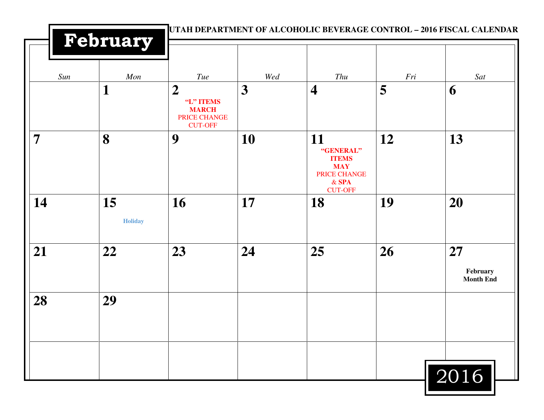|                | February             |                                                                                 |     | UTAH DEPARTMENT OF ALCOHOLIC BEVERAGE CONTROL - 2016 FISCAL CALENDAR                       |     |                                    |
|----------------|----------------------|---------------------------------------------------------------------------------|-----|--------------------------------------------------------------------------------------------|-----|------------------------------------|
| Sun            | Mon                  | Tue                                                                             | Wed | Thu                                                                                        | Fri | Sat                                |
|                | $\mathbf{1}$         | $\boldsymbol{2}$<br>"L" ITEMS<br><b>MARCH</b><br>PRICE CHANGE<br><b>CUT-OFF</b> | 3   | $\overline{\mathbf{4}}$                                                                    | 5   | 6                                  |
| $\overline{7}$ | 8                    | 9                                                                               | 10  | 11<br>"GENERAL"<br><b>ITEMS</b><br><b>MAY</b><br>PRICE CHANGE<br>$&$ SPA<br><b>CUT-OFF</b> | 12  | 13                                 |
| 14             | 15<br><b>Holiday</b> | 16                                                                              | 17  | 18                                                                                         | 19  | 20                                 |
| 21             | 22                   | 23                                                                              | 24  | 25                                                                                         | 26  | 27<br>February<br><b>Month End</b> |
| 28             | 29                   |                                                                                 |     |                                                                                            |     |                                    |
|                |                      |                                                                                 |     |                                                                                            |     | 2016                               |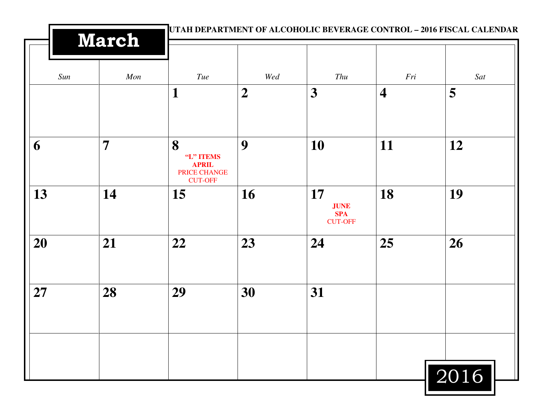|     | <b>March</b>   |                                                                  |                |                                                   |                         | UTAH DEPARTMENT OF ALCOHOLIC BEVERAGE CONTROL - 2016 FISCAL CALENDAR |
|-----|----------------|------------------------------------------------------------------|----------------|---------------------------------------------------|-------------------------|----------------------------------------------------------------------|
| Sun | Mon            | Tue                                                              | Wed            | Thu                                               | Fri                     | Sat                                                                  |
|     |                | 1                                                                | $\overline{2}$ | 3                                                 | $\overline{\mathbf{4}}$ | 5                                                                    |
| 6   | $\overline{7}$ | 8<br>"L" ITEMS<br><b>APRIL</b><br>PRICE CHANGE<br><b>CUT-OFF</b> | 9              | 10                                                | 11                      | 12                                                                   |
| 13  | 14             | 15                                                               | 16             | 17<br><b>JUNE</b><br><b>SPA</b><br><b>CUT-OFF</b> | 18                      | 19                                                                   |
| 20  | 21             | 22                                                               | 23             | 24                                                | 25                      | 26                                                                   |
| 27  | 28             | 29                                                               | 30             | 31                                                |                         |                                                                      |
|     |                |                                                                  |                |                                                   |                         | $\boxed{2016}$                                                       |

<u> Maria Maria (</u>

Ш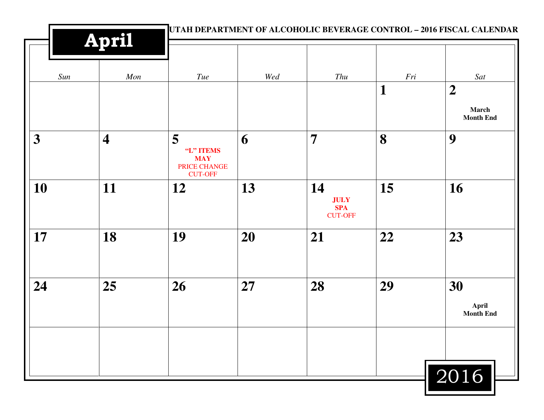|     | <b>April</b>            |                                                                | UTAH DEPARTMENT OF ALCOHOLIC BEVERAGE CONTROL - 2016 FISCAL CALENDAR |                                                   |             |                                               |  |
|-----|-------------------------|----------------------------------------------------------------|----------------------------------------------------------------------|---------------------------------------------------|-------------|-----------------------------------------------|--|
| Sun | Mon                     | Tue                                                            | Wed                                                                  | Thu                                               | Fri         | Sat                                           |  |
|     |                         |                                                                |                                                                      |                                                   | $\mathbf 1$ | $\boldsymbol{2}$<br>March<br><b>Month End</b> |  |
| 3   | $\overline{\mathbf{4}}$ | 5<br>"L" ITEMS<br><b>MAY</b><br>PRICE CHANGE<br><b>CUT-OFF</b> | 6                                                                    | $\overline{7}$                                    | 8           | 9                                             |  |
| 10  | 11                      | 12                                                             | 13                                                                   | 14<br><b>JULY</b><br><b>SPA</b><br><b>CUT-OFF</b> | 15          | 16                                            |  |
| 17  | 18                      | 19                                                             | 20                                                                   | 21                                                | 22          | 23                                            |  |
| 24  | 25                      | 26                                                             | 27                                                                   | 28                                                | 29          | 30<br>April<br><b>Month End</b>               |  |
|     |                         |                                                                |                                                                      |                                                   |             | 2016                                          |  |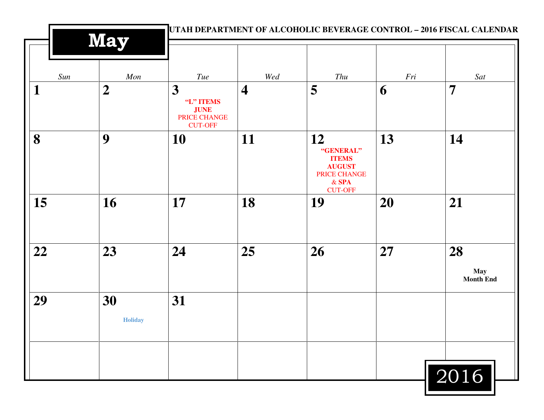|              | <b>May</b>           |                                                                        |                         | UTAH DEPARTMENT OF ALCOHOLIC BEVERAGE CONTROL - 2016 FISCAL CALENDAR                          |     |                                      |
|--------------|----------------------|------------------------------------------------------------------------|-------------------------|-----------------------------------------------------------------------------------------------|-----|--------------------------------------|
| Sun          | Mon                  | Tue                                                                    | Wed                     | Thu                                                                                           | Fri | Sat                                  |
| $\mathbf{1}$ | $\boldsymbol{2}$     | 3<br>"L" ITEMS<br><b>JUNE</b><br><b>PRICE CHANGE</b><br><b>CUT-OFF</b> | $\overline{\mathbf{4}}$ | 5                                                                                             | 6   | $\overline{7}$                       |
| 8            | 9                    | 10                                                                     | 11                      | 12<br>"GENERAL"<br><b>ITEMS</b><br><b>AUGUST</b><br>PRICE CHANGE<br>$&$ SPA<br><b>CUT-OFF</b> | 13  | 14                                   |
| 15           | 16                   | 17                                                                     | 18                      | 19                                                                                            | 20  | 21                                   |
| 22           | 23                   | 24                                                                     | 25                      | 26                                                                                            | 27  | 28<br><b>May</b><br><b>Month End</b> |
| 29           | 30<br><b>Holiday</b> | 31                                                                     |                         |                                                                                               |     |                                      |
|              |                      |                                                                        |                         |                                                                                               |     | 2016                                 |